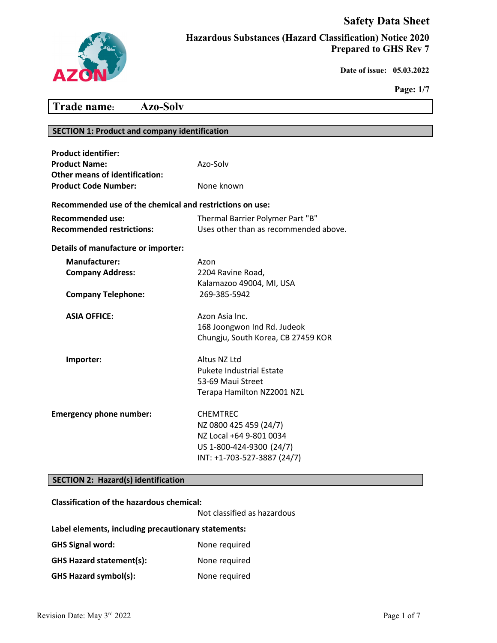# **Safety Data Sheet**



**Hazardous Substances (Hazard Classification) Notice 2020 Prepared to GHS Rev 7**

 **Date of issue: 05.03.2022** 

**Page: 1/7**

# **Trade name: Azo-Solv**

# **SECTION 1: Product and company identification**

| <b>Product identifier:</b><br><b>Product Name:</b><br><b>Other means of identification:</b> | Azo-Solv                                                                                                                        |  |
|---------------------------------------------------------------------------------------------|---------------------------------------------------------------------------------------------------------------------------------|--|
| <b>Product Code Number:</b>                                                                 | None known                                                                                                                      |  |
| Recommended use of the chemical and restrictions on use:                                    |                                                                                                                                 |  |
| <b>Recommended use:</b><br><b>Recommended restrictions:</b>                                 | Thermal Barrier Polymer Part "B"<br>Uses other than as recommended above.                                                       |  |
| Details of manufacture or importer:                                                         |                                                                                                                                 |  |
| <b>Manufacturer:</b><br><b>Company Address:</b>                                             | Azon<br>2204 Ravine Road,<br>Kalamazoo 49004, MI, USA                                                                           |  |
| <b>Company Telephone:</b>                                                                   | 269-385-5942                                                                                                                    |  |
| <b>ASIA OFFICE:</b>                                                                         | Azon Asia Inc.<br>168 Joongwon Ind Rd. Judeok<br>Chungju, South Korea, CB 27459 KOR                                             |  |
| Importer:                                                                                   | Altus NZ Ltd<br><b>Pukete Industrial Estate</b><br>53-69 Maui Street<br>Terapa Hamilton NZ2001 NZL                              |  |
| <b>Emergency phone number:</b>                                                              | <b>CHEMTREC</b><br>NZ 0800 425 459 (24/7)<br>NZ Local +64 9-801 0034<br>US 1-800-424-9300 (24/7)<br>INT: +1-703-527-3887 (24/7) |  |

# **SECTION 2: Hazard(s) identification**

#### **Classification of the hazardous chemical:**

Not classified as hazardous

#### **Label elements, including precautionary statements:**

| <b>GHS Signal word:</b>         | None required |
|---------------------------------|---------------|
| <b>GHS Hazard statement(s):</b> | None required |
| <b>GHS Hazard symbol(s):</b>    | None required |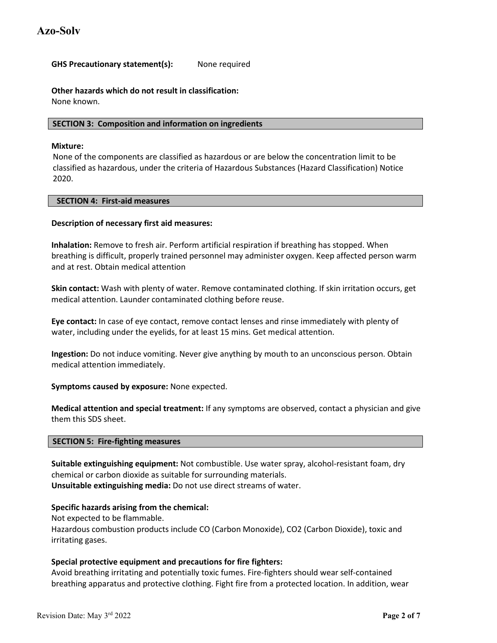### **GHS Precautionary statement(s):** None required

**Other hazards which do not result in classification:**  None known.

#### **SECTION 3: Composition and information on ingredients**

#### **Mixture:**

None of the components are classified as hazardous or are below the concentration limit to be classified as hazardous, under the criteria of Hazardous Substances (Hazard Classification) Notice 2020.

#### **SECTION 4: First-aid measures**

#### **Description of necessary first aid measures:**

**Inhalation:** Remove to fresh air. Perform artificial respiration if breathing has stopped. When breathing is difficult, properly trained personnel may administer oxygen. Keep affected person warm and at rest. Obtain medical attention

**Skin contact:** Wash with plenty of water. Remove contaminated clothing. If skin irritation occurs, get medical attention. Launder contaminated clothing before reuse.

**Eye contact:** In case of eye contact, remove contact lenses and rinse immediately with plenty of water, including under the eyelids, for at least 15 mins. Get medical attention.

**Ingestion:** Do not induce vomiting. Never give anything by mouth to an unconscious person. Obtain medical attention immediately.

**Symptoms caused by exposure:** None expected.

**Medical attention and special treatment:** If any symptoms are observed, contact a physician and give them this SDS sheet.

#### **SECTION 5: Fire-fighting measures**

**Suitable extinguishing equipment:** Not combustible. Use water spray, alcohol-resistant foam, dry chemical or carbon dioxide as suitable for surrounding materials. **Unsuitable extinguishing media:** Do not use direct streams of water.

#### **Specific hazards arising from the chemical:**

Not expected to be flammable.

Hazardous combustion products include CO (Carbon Monoxide), CO2 (Carbon Dioxide), toxic and irritating gases.

#### **Special protective equipment and precautions for fire fighters:**

Avoid breathing irritating and potentially toxic fumes. Fire-fighters should wear self-contained breathing apparatus and protective clothing. Fight fire from a protected location. In addition, wear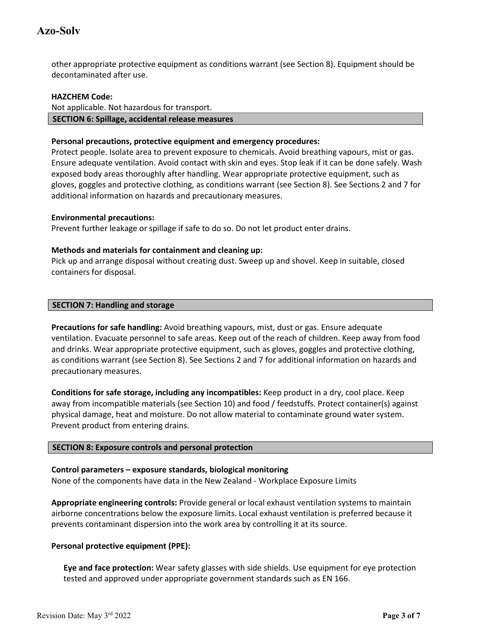other appropriate protective equipment as conditions warrant (see Section 8). Equipment should be decontaminated after use.

#### **HAZCHEM Code:**

## Not applicable. Not hazardous for transport. **SECTION 6: Spillage, accidental release measures**

# **Personal precautions, protective equipment and emergency procedures:**

Protect people. Isolate area to prevent exposure to chemicals. Avoid breathing vapours, mist or gas. Ensure adequate ventilation. Avoid contact with skin and eyes. Stop leak if it can be done safely. Wash exposed body areas thoroughly after handling. Wear appropriate protective equipment, such as gloves, goggles and protective clothing, as conditions warrant (see Section 8). See Sections 2 and 7 for additional information on hazards and precautionary measures.

# **Environmental precautions:**

Prevent further leakage or spillage if safe to do so. Do not let product enter drains.

# **Methods and materials for containment and cleaning up:**

Pick up and arrange disposal without creating dust. Sweep up and shovel. Keep in suitable, closed containers for disposal.

### **SECTION 7: Handling and storage**

**Precautions for safe handling:** Avoid breathing vapours, mist, dust or gas. Ensure adequate ventilation. Evacuate personnel to safe areas. Keep out of the reach of children. Keep away from food and drinks. Wear appropriate protective equipment, such as gloves, goggles and protective clothing, as conditions warrant (see Section 8). See Sections 2 and 7 for additional information on hazards and precautionary measures.

**Conditions for safe storage, including any incompatibles:** Keep product in a dry, cool place. Keep away from incompatible materials (see Section 10) and food / feedstuffs. Protect container(s) against physical damage, heat and moisture. Do not allow material to contaminate ground water system. Prevent product from entering drains.

# **SECTION 8: Exposure controls and personal protection**

# **Control parameters – exposure standards, biological monitoring**

None of the components have data in the New Zealand - Workplace Exposure Limits

**Appropriate engineering controls:** Provide general or local exhaust ventilation systems to maintain airborne concentrations below the exposure limits. Local exhaust ventilation is preferred because it prevents contaminant dispersion into the work area by controlling it at its source.

# **Personal protective equipment (PPE):**

**Eye and face protection:** Wear safety glasses with side shields. Use equipment for eye protection tested and approved under appropriate government standards such as EN 166.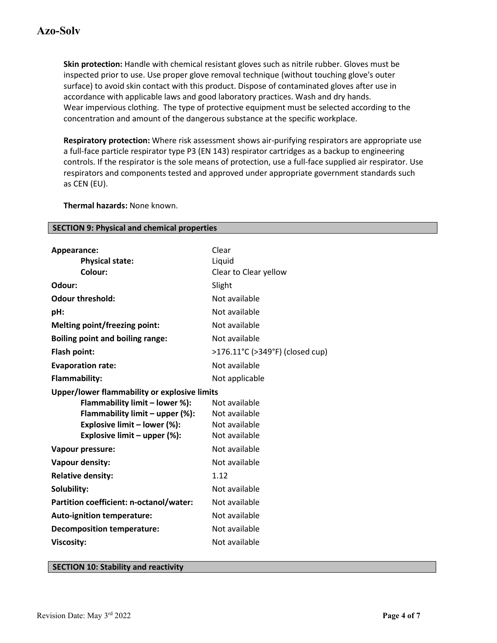**Skin protection:** Handle with chemical resistant gloves such as nitrile rubber. Gloves must be inspected prior to use. Use proper glove removal technique (without touching glove's outer surface) to avoid skin contact with this product. Dispose of contaminated gloves after use in accordance with applicable laws and good laboratory practices. Wash and dry hands. Wear impervious clothing. The type of protective equipment must be selected according to the concentration and amount of the dangerous substance at the specific workplace.

**Respiratory protection:** Where risk assessment shows air-purifying respirators are appropriate use a full-face particle respirator type P3 (EN 143) respirator cartridges as a backup to engineering controls. If the respirator is the sole means of protection, use a full-face supplied air respirator. Use respirators and components tested and approved under appropriate government standards such as CEN (EU).

**Thermal hazards:** None known.

| Appearance:                             | Clear                                        |  |
|-----------------------------------------|----------------------------------------------|--|
| <b>Physical state:</b>                  | Liquid                                       |  |
| Colour:                                 | Clear to Clear yellow                        |  |
| Odour:                                  | Slight                                       |  |
| <b>Odour threshold:</b>                 | Not available                                |  |
| pH:                                     | Not available                                |  |
| <b>Melting point/freezing point:</b>    | Not available                                |  |
| <b>Boiling point and boiling range:</b> | Not available                                |  |
| Flash point:                            | >176.11°C (>349°F) (closed cup)              |  |
| <b>Evaporation rate:</b>                | Not available                                |  |
| <b>Flammability:</b>                    | Not applicable                               |  |
|                                         | Upper/lower flammability or explosive limits |  |
| Flammability limit - lower %):          | Not available                                |  |
| Flammability limit - upper (%):         | Not available                                |  |
| Explosive limit - lower (%):            | Not available                                |  |
| Explosive limit - upper (%):            | Not available                                |  |
| Vapour pressure:                        | Not available                                |  |
| Vapour density:                         | Not available                                |  |
| <b>Relative density:</b>                | 1.12                                         |  |
| Solubility:                             | Not available                                |  |
| Partition coefficient: n-octanol/water: | Not available                                |  |
| <b>Auto-ignition temperature:</b>       | Not available                                |  |
| <b>Decomposition temperature:</b>       | Not available                                |  |
| <b>Viscosity:</b>                       | Not available                                |  |
|                                         |                                              |  |

**SECTION 9: Physical and chemical properties**

#### **SECTION 10: Stability and reactivity**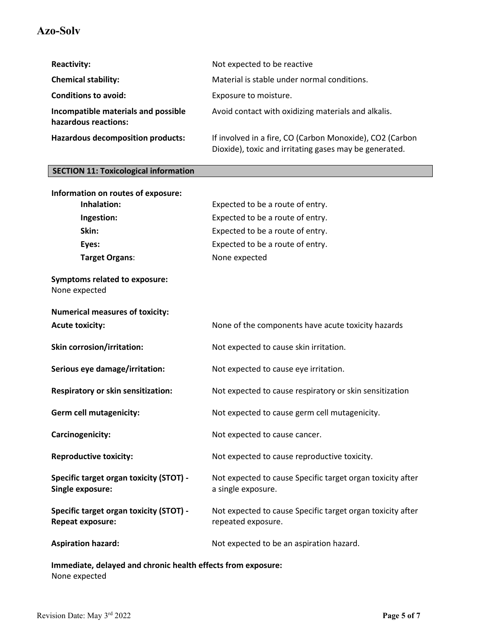# **Azo-Solv**

| <b>Reactivity:</b>                                          | Not expected to be reactive                                                                                        |
|-------------------------------------------------------------|--------------------------------------------------------------------------------------------------------------------|
| <b>Chemical stability:</b>                                  | Material is stable under normal conditions.                                                                        |
| <b>Conditions to avoid:</b>                                 | Exposure to moisture.                                                                                              |
| Incompatible materials and possible<br>hazardous reactions: | Avoid contact with oxidizing materials and alkalis.                                                                |
| <b>Hazardous decomposition products:</b>                    | If involved in a fire, CO (Carbon Monoxide), CO2 (Carbon<br>Dioxide), toxic and irritating gases may be generated. |

# **SECTION 11: Toxicological information**

| Information on routes of exposure:                                 |                                                                                  |
|--------------------------------------------------------------------|----------------------------------------------------------------------------------|
| Inhalation:                                                        | Expected to be a route of entry.                                                 |
| Ingestion:                                                         | Expected to be a route of entry.                                                 |
| Skin:                                                              | Expected to be a route of entry.                                                 |
| Eyes:                                                              | Expected to be a route of entry.                                                 |
| Target Organs:                                                     | None expected                                                                    |
| <b>Symptoms related to exposure:</b><br>None expected              |                                                                                  |
| <b>Numerical measures of toxicity:</b>                             |                                                                                  |
| <b>Acute toxicity:</b>                                             | None of the components have acute toxicity hazards                               |
| Skin corrosion/irritation:                                         | Not expected to cause skin irritation.                                           |
| Serious eye damage/irritation:                                     | Not expected to cause eye irritation.                                            |
| Respiratory or skin sensitization:                                 | Not expected to cause respiratory or skin sensitization                          |
| <b>Germ cell mutagenicity:</b>                                     | Not expected to cause germ cell mutagenicity.                                    |
| Carcinogenicity:                                                   | Not expected to cause cancer.                                                    |
| <b>Reproductive toxicity:</b>                                      | Not expected to cause reproductive toxicity.                                     |
| Specific target organ toxicity (STOT) -<br>Single exposure:        | Not expected to cause Specific target organ toxicity after<br>a single exposure. |
| Specific target organ toxicity (STOT) -<br><b>Repeat exposure:</b> | Not expected to cause Specific target organ toxicity after<br>repeated exposure. |
| <b>Aspiration hazard:</b>                                          | Not expected to be an aspiration hazard.                                         |
|                                                                    |                                                                                  |

**Immediate, delayed and chronic health effects from exposure:** None expected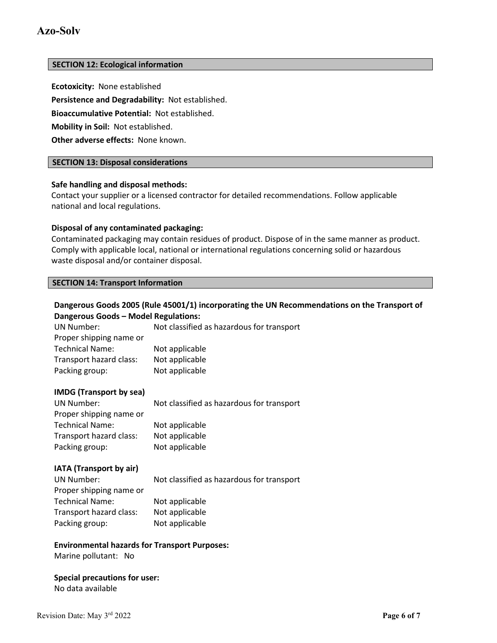# **Azo-Solv**

#### **SECTION 12: Ecological information**

**Ecotoxicity:** None established

**Persistence and Degradability:** Not established.

**Bioaccumulative Potential:** Not established.

**Mobility in Soil:** Not established.

**Other adverse effects:** None known.

### **SECTION 13: Disposal considerations**

#### **Safe handling and disposal methods:**

Contact your supplier or a licensed contractor for detailed recommendations. Follow applicable national and local regulations.

#### **Disposal of any contaminated packaging:**

Contaminated packaging may contain residues of product. Dispose of in the same manner as product. Comply with applicable local, national or international regulations concerning solid or hazardous waste disposal and/or container disposal.

#### **SECTION 14: Transport Information**

# **Dangerous Goods 2005 (Rule 45001/1) incorporating the UN Recommendations on the Transport of Dangerous Goods – Model Regulations:**

| <b>UN Number:</b>       | Not classified as hazardous for transport |
|-------------------------|-------------------------------------------|
| Proper shipping name or |                                           |
| <b>Technical Name:</b>  | Not applicable                            |
| Transport hazard class: | Not applicable                            |
| Packing group:          | Not applicable                            |
|                         |                                           |

#### **IMDG (Transport by sea)**

| UN Number:              | Not classified as hazardous for transport |
|-------------------------|-------------------------------------------|
| Proper shipping name or |                                           |
| <b>Technical Name:</b>  | Not applicable                            |
| Transport hazard class: | Not applicable                            |
| Packing group:          | Not applicable                            |
|                         |                                           |

#### **IATA (Transport by air)**

| UN Number:              | Not classified as hazardous for transport |
|-------------------------|-------------------------------------------|
| Proper shipping name or |                                           |
| <b>Technical Name:</b>  | Not applicable                            |
| Transport hazard class: | Not applicable                            |
| Packing group:          | Not applicable                            |

#### **Environmental hazards for Transport Purposes:**

Marine pollutant: No

#### **Special precautions for user:** No data available